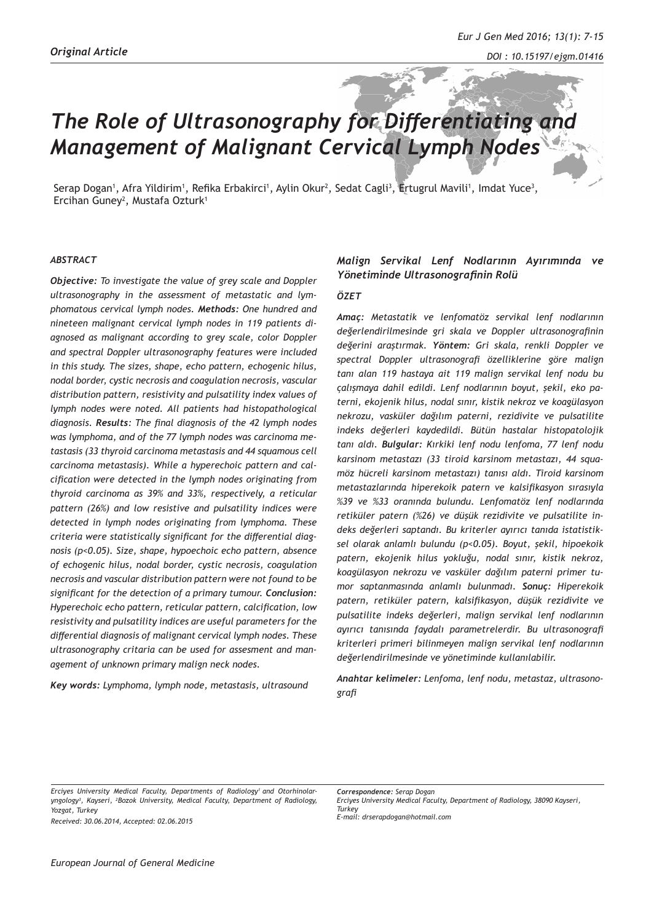# *The Role of Ultrasonography for Differentiating and Management of Malignant Cervical Lymph Nodes*

Serap Dogan<sup>1</sup>, Afra Yildirim<sup>1</sup>, Refika Erbakirci<sup>1</sup>, Aylin Okur<sup>2</sup>, Sedat Cagli<sup>3</sup>, Ertugrul Mavili<sup>1</sup>, Imdat Yuce<sup>3</sup>, Ercihan Guney<sup>2</sup>, Mustafa Ozturk<sup>1</sup>

#### *ABSTRACT*

*Objective: To investigate the value of grey scale and Doppler ultrasonography in the assessment of metastatic and lymphomatous cervical lymph nodes. Methods: One hundred and nineteen malignant cervical lymph nodes in 119 patients diagnosed as malignant according to grey scale, color Doppler and spectral Doppler ultrasonography features were included in this study. The sizes, shape, echo pattern, echogenic hilus, nodal border, cystic necrosis and coagulation necrosis, vascular distribution pattern, resistivity and pulsatility index values of lymph nodes were noted. All patients had histopathological diagnosis. Results: The final diagnosis of the 42 lymph nodes was lymphoma, and of the 77 lymph nodes was carcinoma metastasis (33 thyroid carcinoma metastasis and 44 squamous cell carcinoma metastasis). While a hyperechoic pattern and calcification were detected in the lymph nodes originating from thyroid carcinoma as 39% and 33%, respectively, a reticular pattern (26%) and low resistive and pulsatility indices were detected in lymph nodes originating from lymphoma. These criteria were statistically significant for the differential diagnosis (p<0.05). Size, shape, hypoechoic echo pattern, absence of echogenic hilus, nodal border, cystic necrosis, coagulation necrosis and vascular distribution pattern were not found to be significant for the detection of a primary tumour. Conclusion: Hyperechoic echo pattern, reticular pattern, calcification, low resistivity and pulsatility indices are useful parameters for the differential diagnosis of malignant cervical lymph nodes. These ultrasonography critaria can be used for assesment and management of unknown primary malign neck nodes.*

*Key words: Lymphoma, lymph node, metastasis, ultrasound* 

# *Malign Servikal Lenf Nodlarının Ayırımında ve Yönetiminde Ultrasonografinin Rolü*

#### *ÖZET*

*Amaç: Metastatik ve lenfomatöz servikal lenf nodlarının değerlendirilmesinde gri skala ve Doppler ultrasonografinin değerini araştırmak. Yöntem: Gri skala, renkli Doppler ve spectral Doppler ultrasonografi özelliklerine göre malign tanı alan 119 hastaya ait 119 malign servikal lenf nodu bu çalışmaya dahil edildi. Lenf nodlarının boyut, şekil, eko paterni, ekojenik hilus, nodal sınır, kistik nekroz ve koagülasyon nekrozu, vasküler dağılım paterni, rezidivite ve pulsatilite indeks değerleri kaydedildi. Bütün hastalar histopatolojik tanı aldı. Bulgular: Kırkiki lenf nodu lenfoma, 77 lenf nodu karsinom metastazı (33 tiroid karsinom metastazı, 44 squamöz hücreli karsinom metastazı) tanısı aldı. Tiroid karsinom metastazlarında hiperekoik patern ve kalsifikasyon sırasıyla %39 ve %33 oranında bulundu. Lenfomatöz lenf nodlarında retiküler patern (%26) ve düşük rezidivite ve pulsatilite indeks değerleri saptandı. Bu kriterler ayırıcı tanıda istatistiksel olarak anlamlı bulundu (p<0.05). Boyut, şekil, hipoekoik patern, ekojenik hilus yokluğu, nodal sınır, kistik nekroz, koagülasyon nekrozu ve vasküler dağılım paterni primer tumor saptanmasında anlamlı bulunmadı. Sonuç: Hiperekoik patern, retiküler patern, kalsifikasyon, düşük rezidivite ve pulsatilite indeks değerleri, malign servikal lenf nodlarının ayırıcı tanısında faydalı parametrelerdir. Bu ultrasonografi kriterleri primeri bilinmeyen malign servikal lenf nodlarının değerlendirilmesinde ve yönetiminde kullanılabilir.*

*Anahtar kelimeler: Lenfoma, lenf nodu, metastaz, ultrasonografi*

*Received: 30.06.2014, Accepted: 02.06.2015*

*Correspondence: Serap Dogan Erciyes University Medical Faculty, Department of Radiology, 38090 Kayseri, Turkey*

*E-mail: drserapdogan@hotmail.com*

*Erciyes University Medical Faculty, Departments of Radiology1 and Otorhinolaryngology3 , Kayseri, 2 Bozok University, Medical Faculty, Department of Radiology, Yozgat, Turkey*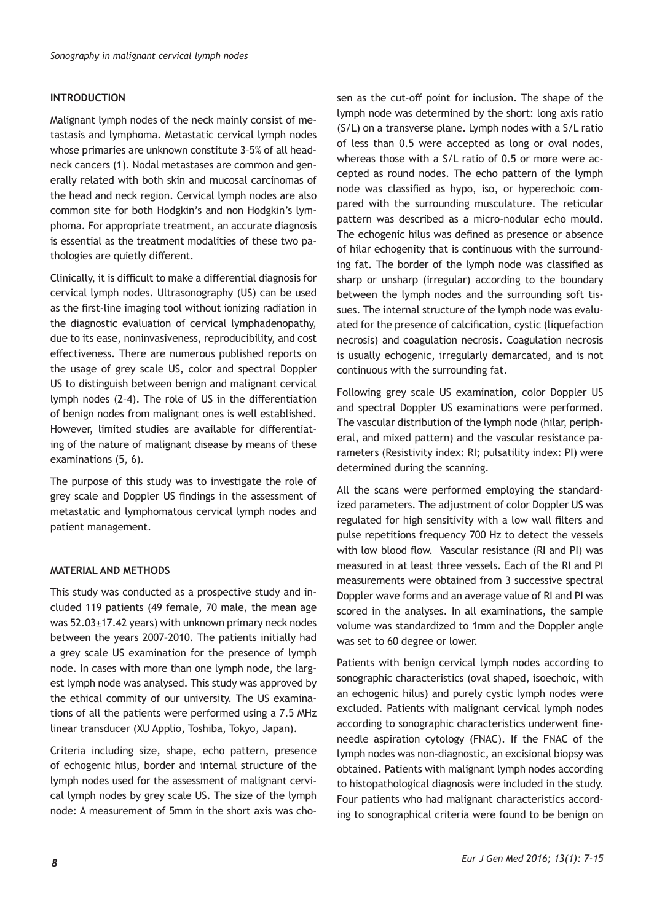# **INTRODUCTION**

Malignant lymph nodes of the neck mainly consist of metastasis and lymphoma. Metastatic cervical lymph nodes whose primaries are unknown constitute 3–5% of all headneck cancers (1). Nodal metastases are common and generally related with both skin and mucosal carcinomas of the head and neck region. Cervical lymph nodes are also common site for both Hodgkin's and non Hodgkin's lymphoma. For appropriate treatment, an accurate diagnosis is essential as the treatment modalities of these two pathologies are quietly different.

Clinically, it is difficult to make a differential diagnosis for cervical lymph nodes. Ultrasonography (US) can be used as the first-line imaging tool without ionizing radiation in the diagnostic evaluation of cervical lymphadenopathy, due to its ease, noninvasiveness, reproducibility, and cost effectiveness. There are numerous published reports on the usage of grey scale US, color and spectral Doppler US to distinguish between benign and malignant cervical lymph nodes (2–4). The role of US in the differentiation of benign nodes from malignant ones is well established. However, limited studies are available for differentiating of the nature of malignant disease by means of these examinations (5, 6).

The purpose of this study was to investigate the role of grey scale and Doppler US findings in the assessment of metastatic and lymphomatous cervical lymph nodes and patient management.

## **MATERIAL AND METHODS**

This study was conducted as a prospective study and included 119 patients (49 female, 70 male, the mean age was 52.03±17.42 years) with unknown primary neck nodes between the years 2007–2010. The patients initially had a grey scale US examination for the presence of lymph node. In cases with more than one lymph node, the largest lymph node was analysed. This study was approved by the ethical commity of our university. The US examinations of all the patients were performed using a 7.5 MHz linear transducer (XU Applio, Toshiba, Tokyo, Japan).

Criteria including size, shape, echo pattern, presence of echogenic hilus, border and internal structure of the lymph nodes used for the assessment of malignant cervical lymph nodes by grey scale US. The size of the lymph node: A measurement of 5mm in the short axis was chosen as the cut-off point for inclusion. The shape of the lymph node was determined by the short: long axis ratio (S/L) on a transverse plane. Lymph nodes with a S/L ratio of less than 0.5 were accepted as long or oval nodes, whereas those with a S/L ratio of 0.5 or more were accepted as round nodes. The echo pattern of the lymph node was classified as hypo, iso, or hyperechoic compared with the surrounding musculature. The reticular pattern was described as a micro-nodular echo mould. The echogenic hilus was defined as presence or absence of hilar echogenity that is continuous with the surrounding fat. The border of the lymph node was classified as sharp or unsharp (irregular) according to the boundary between the lymph nodes and the surrounding soft tissues. The internal structure of the lymph node was evaluated for the presence of calcification, cystic (liquefaction necrosis) and coagulation necrosis. Coagulation necrosis is usually echogenic, irregularly demarcated, and is not continuous with the surrounding fat.

Following grey scale US examination, color Doppler US and spectral Doppler US examinations were performed. The vascular distribution of the lymph node (hilar, peripheral, and mixed pattern) and the vascular resistance parameters (Resistivity index: RI; pulsatility index: PI) were determined during the scanning.

All the scans were performed employing the standardized parameters. The adjustment of color Doppler US was regulated for high sensitivity with a low wall filters and pulse repetitions frequency 700 Hz to detect the vessels with low blood flow. Vascular resistance (RI and PI) was measured in at least three vessels. Each of the RI and PI measurements were obtained from 3 successive spectral Doppler wave forms and an average value of RI and PI was scored in the analyses. In all examinations, the sample volume was standardized to 1mm and the Doppler angle was set to 60 degree or lower.

Patients with benign cervical lymph nodes according to sonographic characteristics (oval shaped, isoechoic, with an echogenic hilus) and purely cystic lymph nodes were excluded. Patients with malignant cervical lymph nodes according to sonographic characteristics underwent fineneedle aspiration cytology (FNAC). If the FNAC of the lymph nodes was non-diagnostic, an excisional biopsy was obtained. Patients with malignant lymph nodes according to histopathological diagnosis were included in the study. Four patients who had malignant characteristics according to sonographical criteria were found to be benign on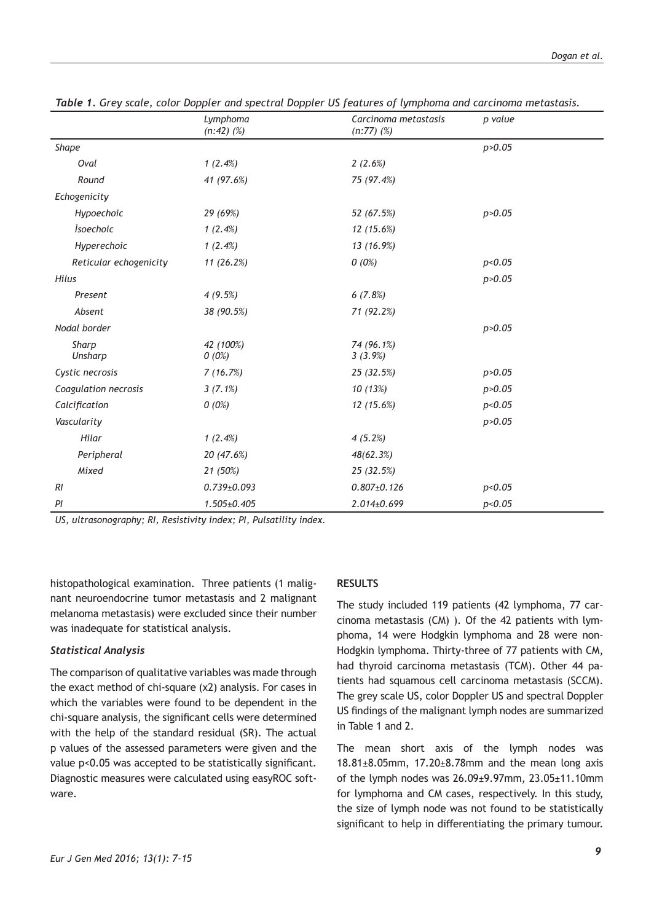|                        | Lymphoma<br>$(n:42)$ $(\%)$ | Carcinoma metastasis<br>$(n:77)$ $(\%)$ | p value  |
|------------------------|-----------------------------|-----------------------------------------|----------|
| Shape                  |                             |                                         | p > 0.05 |
| Oval                   | 1(2.4%)                     | 2(2.6%)                                 |          |
| Round                  | 41 (97.6%)                  | 75 (97.4%)                              |          |
| Echogenicity           |                             |                                         |          |
| Hypoechoic             | 29 (69%)                    | 52 (67.5%)                              | p > 0.05 |
| <i>Isoechoic</i>       | 1(2.4%)                     | 12(15.6%)                               |          |
| Hyperechoic            | 1(2.4%)                     | 13 (16.9%)                              |          |
| Reticular echogenicity | 11(26.2%)                   | $0(0\%)$                                | p<0.05   |
| Hilus                  |                             |                                         | p > 0.05 |
| Present                | 4(9.5%)                     | 6(7.8%)                                 |          |
| Absent                 | 38 (90.5%)                  | 71 (92.2%)                              |          |
| Nodal border           |                             |                                         | p > 0.05 |
| Sharp<br>Unsharp       | 42 (100%)<br>0(0%)          | 74 (96.1%)<br>3(3.9%)                   |          |
| Cystic necrosis        | 7(16.7%)                    | 25 (32.5%)                              | p > 0.05 |
| Coagulation necrosis   | $3(7.1\%)$                  | 10(13%)                                 | p > 0.05 |
| Calcification          | 0(0%)                       | 12 (15.6%)                              | p<0.05   |
| Vascularity            |                             |                                         | p > 0.05 |
| Hilar                  | 1(2.4%)                     | 4(5.2%)                                 |          |
| Peripheral             | 20 (47.6%)                  | 48(62.3%)                               |          |
| Mixed                  | 21 (50%)                    | 25 (32.5%)                              |          |
| RI                     | $0.739 \pm 0.093$           | $0.807 \pm 0.126$                       | p<0.05   |
| PI                     | 1.505±0.405                 | 2.014±0.699                             | p<0.05   |

*Table 1. Grey scale, color Doppler and spectral Doppler US features of lymphoma and carcinoma metastasis.*

*US, ultrasonography; RI, Resistivity index; PI, Pulsatility index.*

histopathological examination. Three patients (1 malignant neuroendocrine tumor metastasis and 2 malignant melanoma metastasis) were excluded since their number was inadequate for statistical analysis.

# *Statistical Analysis*

The comparison of qualitative variables was made through the exact method of chi-square (χ2) analysis. For cases in which the variables were found to be dependent in the chi-square analysis, the significant cells were determined with the help of the standard residual (SR). The actual p values of the assessed parameters were given and the value p<0.05 was accepted to be statistically significant. Diagnostic measures were calculated using easyROC software.

## **RESULTS**

The study included 119 patients (42 lymphoma, 77 carcinoma metastasis (CM) ). Of the 42 patients with lymphoma, 14 were Hodgkin lymphoma and 28 were non-Hodgkin lymphoma. Thirty-three of 77 patients with CM, had thyroid carcinoma metastasis (TCM). Other 44 patients had squamous cell carcinoma metastasis (SCCM). The grey scale US, color Doppler US and spectral Doppler US findings of the malignant lymph nodes are summarized in Table 1 and 2.

The mean short axis of the lymph nodes was 18.81±8.05mm, 17.20±8.78mm and the mean long axis of the lymph nodes was 26.09±9.97mm, 23.05±11.10mm for lymphoma and CM cases, respectively. In this study, the size of lymph node was not found to be statistically significant to help in differentiating the primary tumour.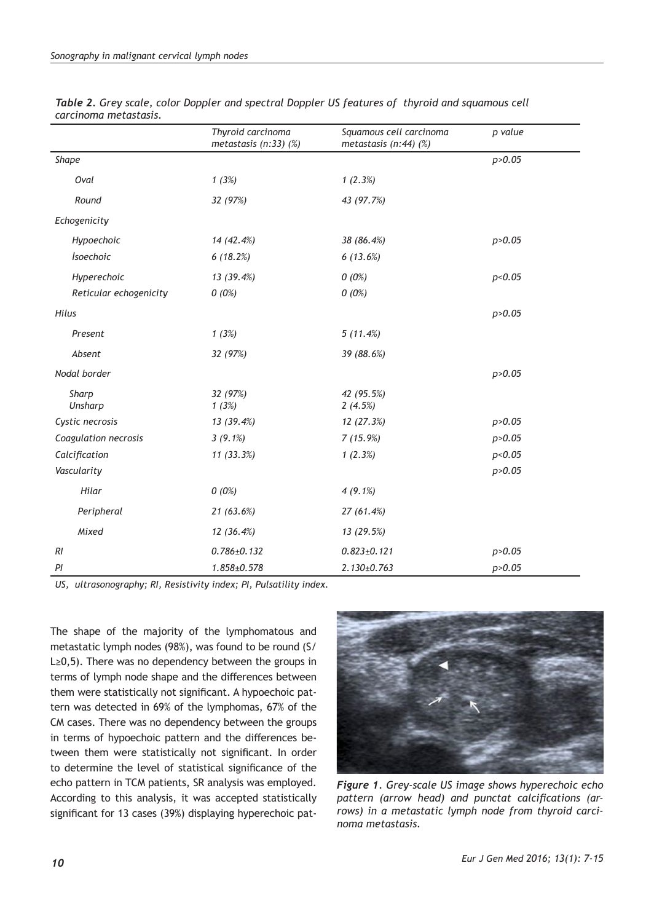|                        | Thyroid carcinoma<br>metastasis $(n:33)$ $(\%)$ | Squamous cell carcinoma<br>metastasis $(n:44)$ $(\%)$ | p value  |
|------------------------|-------------------------------------------------|-------------------------------------------------------|----------|
| Shape                  |                                                 |                                                       | p > 0.05 |
| Oval                   | 1(3%)                                           | 1(2.3%)                                               |          |
| Round                  | 32 (97%)                                        | 43 (97.7%)                                            |          |
| Echogenicity           |                                                 |                                                       |          |
| Hypoechoic             | 14 (42.4%)                                      | 38 (86.4%)                                            | p > 0.05 |
| <i>Isoechoic</i>       | 6(18.2%)                                        | 6(13.6%)                                              |          |
| Hyperechoic            | 13 (39.4%)                                      | 0(0%)                                                 | p<0.05   |
| Reticular echogenicity | 0(0%)                                           | 0(0%)                                                 |          |
| Hilus                  |                                                 |                                                       | p > 0.05 |
| Present                | 1(3%)                                           | 5(11.4%)                                              |          |
| Absent                 | 32 (97%)                                        | 39 (88.6%)                                            |          |
| Nodal border           |                                                 |                                                       | p > 0.05 |
| Sharp<br>Unsharp       | 32 (97%)<br>1(3%)                               | 42 (95.5%)<br>2(4.5%)                                 |          |
| Cystic necrosis        | 13(39.4%)                                       | 12 (27.3%)                                            | p > 0.05 |
| Coagulation necrosis   | $3(9.1\%)$                                      | 7(15.9%)                                              | p > 0.05 |
| Calcification          | 11(33.3%)                                       | 1(2.3%)                                               | p<0.05   |
| Vascularity            |                                                 |                                                       | p > 0.05 |
| Hilar                  | $0(0\%)$                                        | $4(9.1\%)$                                            |          |
| Peripheral             | 21(63.6%)                                       | 27 (61.4%)                                            |          |
| Mixed                  | 12(36.4%)                                       | 13 (29.5%)                                            |          |
| RI                     | $0.786 \pm 0.132$                               | $0.823 \pm 0.121$                                     | p > 0.05 |
| ΡI                     | $1.858 \pm 0.578$                               | $2.130 \pm 0.763$                                     | p > 0.05 |

*Table 2. Grey scale, color Doppler and spectral Doppler US features of thyroid and squamous cell carcinoma metastasis.*

*US, ultrasonography; RI, Resistivity index; PI, Pulsatility index.*

The shape of the majority of the lymphomatous and metastatic lymph nodes (98%), was found to be round (S/ L≥0,5). There was no dependency between the groups in terms of lymph node shape and the differences between them were statistically not significant. A hypoechoic pattern was detected in 69% of the lymphomas, 67% of the CM cases. There was no dependency between the groups in terms of hypoechoic pattern and the differences between them were statistically not significant. In order to determine the level of statistical significance of the echo pattern in TCM patients, SR analysis was employed. According to this analysis, it was accepted statistically significant for 13 cases (39%) displaying hyperechoic pat-



*Figure 1. Grey-scale US image shows hyperechoic echo pattern (arrow head) and punctat calcifications (arrows) in a metastatic lymph node from thyroid carcinoma metastasis.*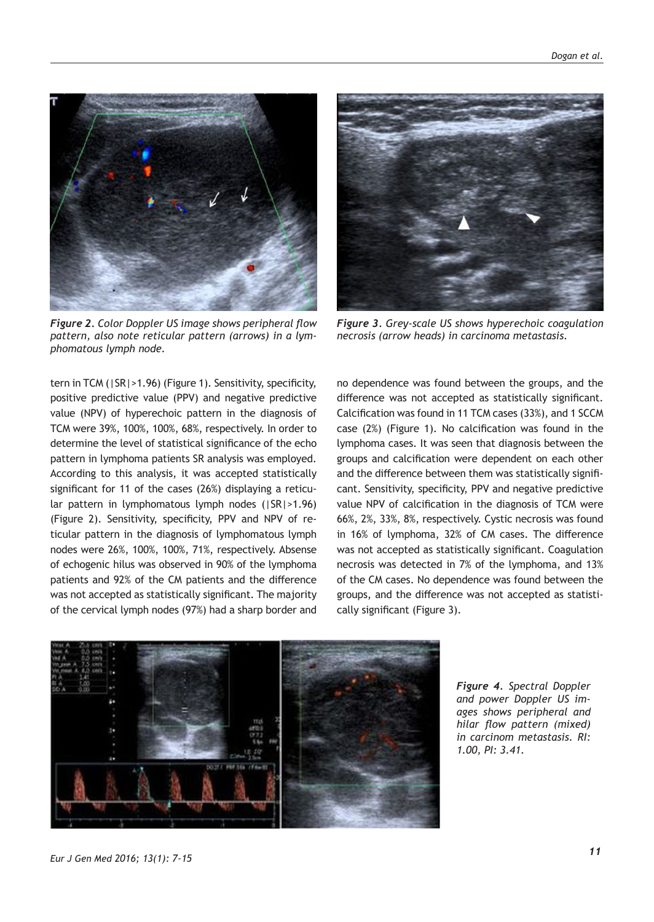

*Figure 2. Color Doppler US image shows peripheral flow pattern, also note reticular pattern (arrows) in a lymphomatous lymph node.*

tern in TCM (|SR|>1.96) (Figure 1). Sensitivity, specificity, positive predictive value (PPV) and negative predictive value (NPV) of hyperechoic pattern in the diagnosis of TCM were 39%, 100%, 100%, 68%, respectively. In order to determine the level of statistical significance of the echo pattern in lymphoma patients SR analysis was employed. According to this analysis, it was accepted statistically significant for 11 of the cases (26%) displaying a reticular pattern in lymphomatous lymph nodes (|SR|>1.96) (Figure 2). Sensitivity, specificity, PPV and NPV of reticular pattern in the diagnosis of lymphomatous lymph nodes were 26%, 100%, 100%, 71%, respectively. Absense of echogenic hilus was observed in 90% of the lymphoma patients and 92% of the CM patients and the difference was not accepted as statistically significant. The majority of the cervical lymph nodes (97%) had a sharp border and



*Figure 3. Grey-scale US shows hyperechoic coagulation necrosis (arrow heads) in carcinoma metastasis.* 

no dependence was found between the groups, and the difference was not accepted as statistically significant. Calcification was found in 11 TCM cases (33%), and 1 SCCM case (2%) (Figure 1). No calcification was found in the lymphoma cases. It was seen that diagnosis between the groups and calcification were dependent on each other and the difference between them was statistically significant. Sensitivity, specificity, PPV and negative predictive value NPV of calcification in the diagnosis of TCM were 66%, 2%, 33%, 8%, respectively. Cystic necrosis was found in 16% of lymphoma, 32% of CM cases. The difference was not accepted as statistically significant. Coagulation necrosis was detected in 7% of the lymphoma, and 13% of the CM cases. No dependence was found between the groups, and the difference was not accepted as statistically significant (Figure 3).



*Figure 4. Spectral Doppler and power Doppler US images shows peripheral and hilar flow pattern (mixed) in carcinom metastasis. RI: 1.00, PI: 3.41.*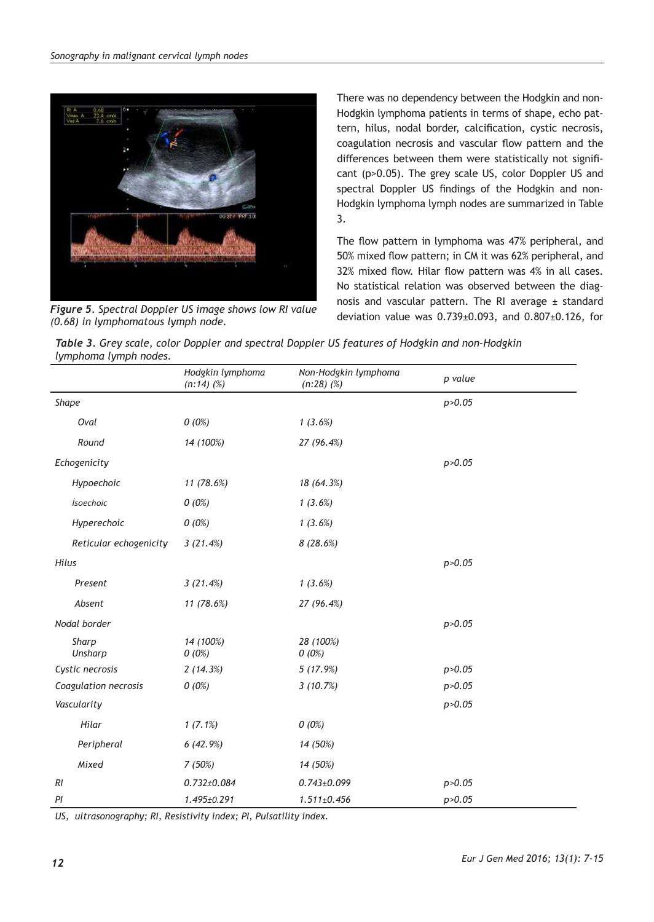

*(0.68) in lymphomatous lymph node.* 

There was no dependency between the Hodgkin and non-Hodgkin lymphoma patients in terms of shape, echo pattern, hilus, nodal border, calcification, cystic necrosis, coagulation necrosis and vascular flow pattern and the differences between them were statistically not significant (p>0.05). The grey scale US, color Doppler US and spectral Doppler US findings of the Hodgkin and non-Hodgkin lymphoma lymph nodes are summarized in Table 3.

The flow pattern in lymphoma was 47% peripheral, and 50% mixed flow pattern; in CM it was 62% peripheral, and 32% mixed flow. Hilar flow pattern was 4% in all cases. No statistical relation was observed between the diagnosis and vascular pattern. The RI average  $\pm$  standard deviation value was 0.739±0.093, and 0.807±0.126, for *Figure 5. Spectral Doppler US image shows low RI value* 

|                       | Table 3. Grey scale, color Doppler and spectral Doppler US features of Hodgkin and non-Hodgkin |
|-----------------------|------------------------------------------------------------------------------------------------|
| lymphoma lymph nodes. |                                                                                                |

|                        | Hodgkin lymphoma<br>$(n:14)$ $(\%)$ | Non-Hodgkin lymphoma<br>$(n:28)$ $(\%)$ | p value  |
|------------------------|-------------------------------------|-----------------------------------------|----------|
| Shape                  |                                     |                                         | p > 0.05 |
| Oval                   | 0(0%)                               | 1(3.6%)                                 |          |
| Round                  | 14 (100%)                           | 27 (96.4%)                              |          |
| Echogenicity           |                                     |                                         | p > 0.05 |
| Hypoechoic             | 11 (78.6%)                          | 18 (64.3%)                              |          |
| <i>isoechoic</i>       | $0(0\%)$                            | 1(3.6%)                                 |          |
| Hyperechoic            | $0(0\%)$                            | 1(3.6%)                                 |          |
| Reticular echogenicity | 3(21.4%)                            | 8 (28.6%)                               |          |
| Hilus                  |                                     |                                         | p > 0.05 |
| Present                | 3(21.4%)                            | 1(3.6%)                                 |          |
| Absent                 | 11 (78.6%)                          | 27 (96.4%)                              |          |
| Nodal border           |                                     |                                         | p > 0.05 |
| Sharp<br>Unsharp       | 14 (100%)<br>0(0%)                  | 28 (100%)<br>$0(0\%)$                   |          |
| Cystic necrosis        | 2(14.3%)                            | 5(17.9%)                                | p > 0.05 |
| Coagulation necrosis   | 0(0%)                               | 3(10.7%)                                | p > 0.05 |
| Vascularity            |                                     |                                         | p > 0.05 |
| Hilar                  | 1(7.1%)                             | 0(0%)                                   |          |
| Peripheral             | 6(42.9%)                            | 14 (50%)                                |          |
| Mixed                  | 7(50%)                              | 14 (50%)                                |          |
| <b>RI</b>              | $0.732 \pm 0.084$                   | $0.743 \pm 0.099$                       | p > 0.05 |
| PI                     | 1.495±0.291                         | $1.511 \pm 0.456$                       | p > 0.05 |

*US, ultrasonography; RI, Resistivity index; PI, Pulsatility index.*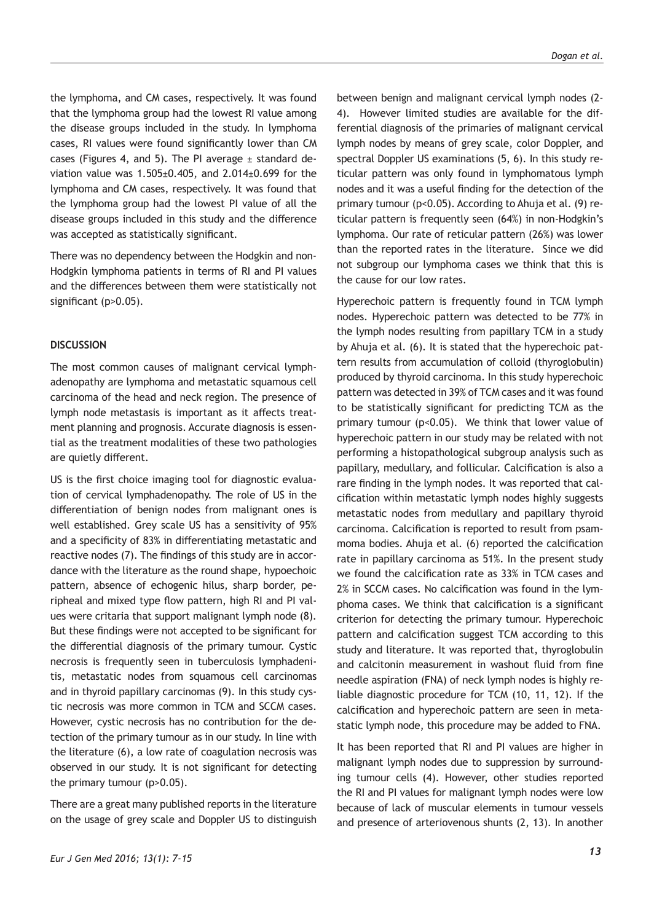the lymphoma, and CM cases, respectively. It was found that the lymphoma group had the lowest RI value among the disease groups included in the study. In lymphoma cases, RI values were found significantly lower than CM cases (Figures 4, and 5). The PI average  $\pm$  standard deviation value was  $1.505 \pm 0.405$ , and  $2.014 \pm 0.699$  for the lymphoma and CM cases, respectively. It was found that the lymphoma group had the lowest PI value of all the disease groups included in this study and the difference was accepted as statistically significant.

There was no dependency between the Hodgkin and non-Hodgkin lymphoma patients in terms of RI and PI values and the differences between them were statistically not significant (p>0.05).

# **DISCUSSION**

The most common causes of malignant cervical lymphadenopathy are lymphoma and metastatic squamous cell carcinoma of the head and neck region. The presence of lymph node metastasis is important as it affects treatment planning and prognosis. Accurate diagnosis is essential as the treatment modalities of these two pathologies are quietly different.

US is the first choice imaging tool for diagnostic evaluation of cervical lymphadenopathy. The role of US in the differentiation of benign nodes from malignant ones is well established. Grey scale US has a sensitivity of 95% and a specificity of 83% in differentiating metastatic and reactive nodes (7). The findings of this study are in accordance with the literature as the round shape, hypoechoic pattern, absence of echogenic hilus, sharp border, peripheal and mixed type flow pattern, high RI and PI values were critaria that support malignant lymph node (8). But these findings were not accepted to be significant for the differential diagnosis of the primary tumour. Cystic necrosis is frequently seen in tuberculosis lymphadenitis, metastatic nodes from squamous cell carcinomas and in thyroid papillary carcinomas (9). In this study cystic necrosis was more common in TCM and SCCM cases. However, cystic necrosis has no contribution for the detection of the primary tumour as in our study. In line with the literature (6), a low rate of coagulation necrosis was observed in our study. It is not significant for detecting the primary tumour (p>0.05).

There are a great many published reports in the literature on the usage of grey scale and Doppler US to distinguish between benign and malignant cervical lymph nodes (2- 4). However limited studies are available for the differential diagnosis of the primaries of malignant cervical lymph nodes by means of grey scale, color Doppler, and spectral Doppler US examinations (5, 6). In this study reticular pattern was only found in lymphomatous lymph nodes and it was a useful finding for the detection of the primary tumour (p<0.05). According to Ahuja et al. (9) reticular pattern is frequently seen (64%) in non-Hodgkin's lymphoma. Our rate of reticular pattern (26%) was lower than the reported rates in the literature. Since we did not subgroup our lymphoma cases we think that this is the cause for our low rates.

Hyperechoic pattern is frequently found in TCM lymph nodes. Hyperechoic pattern was detected to be 77% in the lymph nodes resulting from papillary TCM in a study by Ahuja et al. (6). It is stated that the hyperechoic pattern results from accumulation of colloid (thyroglobulin) produced by thyroid carcinoma. In this study hyperechoic pattern was detected in 39% of TCM cases and it was found to be statistically significant for predicting TCM as the primary tumour (p<0.05). We think that lower value of hyperechoic pattern in our study may be related with not performing a histopathological subgroup analysis such as papillary, medullary, and follicular. Calcification is also a rare finding in the lymph nodes. It was reported that calcification within metastatic lymph nodes highly suggests metastatic nodes from medullary and papillary thyroid carcinoma. Calcification is reported to result from psammoma bodies. Ahuja et al. (6) reported the calcification rate in papillary carcinoma as 51%. In the present study we found the calcification rate as 33% in TCM cases and 2% in SCCM cases. No calcification was found in the lymphoma cases. We think that calcification is a significant criterion for detecting the primary tumour. Hyperechoic pattern and calcification suggest TCM according to this study and literature. It was reported that, thyroglobulin and calcitonin measurement in washout fluid from fine needle aspiration (FNA) of neck lymph nodes is highly reliable diagnostic procedure for TCM (10, 11, 12). If the calcification and hyperechoic pattern are seen in metastatic lymph node, this procedure may be added to FNA.

It has been reported that RI and PI values are higher in malignant lymph nodes due to suppression by surrounding tumour cells (4). However, other studies reported the RI and PI values for malignant lymph nodes were low because of lack of muscular elements in tumour vessels and presence of arteriovenous shunts (2, 13). In another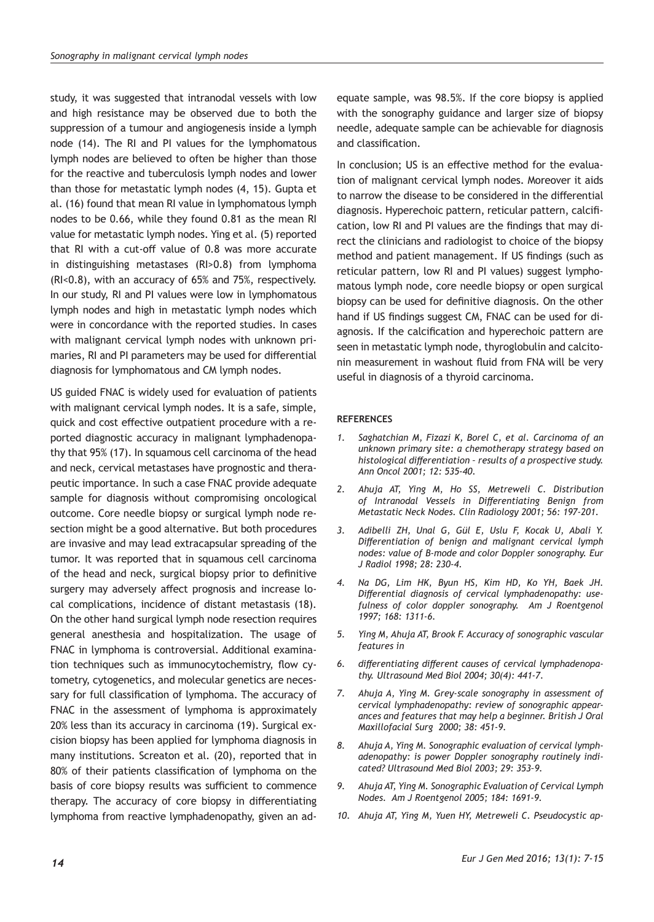study, it was suggested that intranodal vessels with low and high resistance may be observed due to both the suppression of a tumour and angiogenesis inside a lymph node (14). The RI and PI values for the lymphomatous lymph nodes are believed to often be higher than those for the reactive and tuberculosis lymph nodes and lower than those for metastatic lymph nodes (4, 15). Gupta et al. (16) found that mean RI value in lymphomatous lymph nodes to be 0.66, while they found 0.81 as the mean RI value for metastatic lymph nodes. Ying et al. (5) reported that RI with a cut-off value of 0.8 was more accurate in distinguishing metastases (RI>0.8) from lymphoma (RI<0.8), with an accuracy of 65% and 75%, respectively. In our study, RI and PI values were low in lymphomatous lymph nodes and high in metastatic lymph nodes which were in concordance with the reported studies. In cases with malignant cervical lymph nodes with unknown primaries, RI and PI parameters may be used for differential diagnosis for lymphomatous and CM lymph nodes.

US guided FNAC is widely used for evaluation of patients with malignant cervical lymph nodes. It is a safe, simple, quick and cost effective outpatient procedure with a reported diagnostic accuracy in malignant lymphadenopathy that 95% (17). In squamous cell carcinoma of the head and neck, cervical metastases have prognostic and therapeutic importance. In such a case FNAC provide adequate sample for diagnosis without compromising oncological outcome. Core needle biopsy or surgical lymph node resection might be a good alternative. But both procedures are invasive and may lead extracapsular spreading of the tumor. It was reported that in squamous cell carcinoma of the head and neck, surgical biopsy prior to definitive surgery may adversely affect prognosis and increase local complications, incidence of distant metastasis (18). On the other hand surgical lymph node resection requires general anesthesia and hospitalization. The usage of FNAC in lymphoma is controversial. Additional examination techniques such as immunocytochemistry, flow cytometry, cytogenetics, and molecular genetics are necessary for full classification of lymphoma. The accuracy of FNAC in the assessment of lymphoma is approximately 20% less than its accuracy in carcinoma (19). Surgical excision biopsy has been applied for lymphoma diagnosis in many institutions. Screaton et al. (20), reported that in 80% of their patients classification of lymphoma on the basis of core biopsy results was sufficient to commence therapy. The accuracy of core biopsy in differentiating lymphoma from reactive lymphadenopathy, given an ad-

equate sample, was 98.5%. If the core biopsy is applied with the sonography guidance and larger size of biopsy needle, adequate sample can be achievable for diagnosis and classification.

In conclusion; US is an effective method for the evaluation of malignant cervical lymph nodes. Moreover it aids to narrow the disease to be considered in the differential diagnosis. Hyperechoic pattern, reticular pattern, calcification, low RI and PI values are the findings that may direct the clinicians and radiologist to choice of the biopsy method and patient management. If US findings (such as reticular pattern, low RI and PI values) suggest lymphomatous lymph node, core needle biopsy or open surgical biopsy can be used for definitive diagnosis. On the other hand if US findings suggest CM, FNAC can be used for diagnosis. If the calcification and hyperechoic pattern are seen in metastatic lymph node, thyroglobulin and calcitonin measurement in washout fluid from FNA will be very useful in diagnosis of a thyroid carcinoma.

#### **REFERENCES**

- *1. Saghatchian M, Fizazi K, Borel C, et al. Carcinoma of an unknown primary site: a chemotherapy strategy based on histological differentiation – results of a prospective study. Ann Oncol 2001; 12: 535-40.*
- *2. Ahuja AT, Ying M, Ho SS, Metreweli C. Distribution of Intranodal Vessels in Differentiating Benign from Metastatic Neck Nodes. Clin Radiology 2001; 56: 197-201.*
- *3. Adibelli ZH, Unal G, Gül E, Uslu F, Kocak U, Abali Y. Differentiation of benign and malignant cervical lymph nodes: value of B-mode and color Doppler sonography. Eur J Radiol 1998; 28: 230-4.*
- *4. Na DG, Lim HK, Byun HS, Kim HD, Ko YH, Baek JH. Differential diagnosis of cervical lymphadenopathy: usefulness of color doppler sonography. Am J Roentgenol 1997; 168: 1311-6.*
- *5. Ying M, Ahuja AT, Brook F. Accuracy of sonographic vascular features in*
- *6. differentiating different causes of cervical lymphadenopathy. Ultrasound Med Biol 2004; 30(4): 441-7.*
- *7. Ahuja A, Ying M. Grey-scale sonography in assessment of cervical lymphadenopathy: review of sonographic appearances and features that may help a beginner. British J Oral Maxillofacial Surg 2000; 38: 451-9.*
- *8. Ahuja A, Ying M. Sonographic evaluation of cervical lymphadenopathy: is power Doppler sonography routinely indicated? Ultrasound Med Biol 2003; 29: 353–9.*
- *9. Ahuja AT, Ying M. Sonographic Evaluation of Cervical Lymph Nodes. Am J Roentgenol 2005; 184: 1691-9.*
- *10. Ahuja AT, Ying M, Yuen HY, Metreweli C. Pseudocystic ap-*